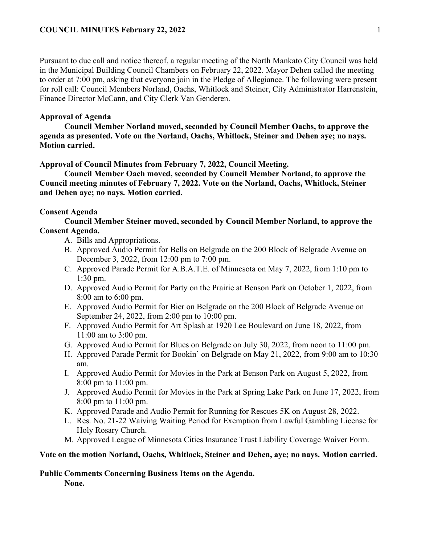Pursuant to due call and notice thereof, a regular meeting of the North Mankato City Council was held in the Municipal Building Council Chambers on February 22, 2022. Mayor Dehen called the meeting to order at 7:00 pm, asking that everyone join in the Pledge of Allegiance. The following were present for roll call: Council Members Norland, Oachs, Whitlock and Steiner, City Administrator Harrenstein, Finance Director McCann, and City Clerk Van Genderen.

## **Approval of Agenda**

**Council Member Norland moved, seconded by Council Member Oachs, to approve the agenda as presented. Vote on the Norland, Oachs, Whitlock, Steiner and Dehen aye; no nays. Motion carried.** 

#### **Approval of Council Minutes from February 7, 2022, Council Meeting.**

**Council Member Oach moved, seconded by Council Member Norland, to approve the Council meeting minutes of February 7, 2022. Vote on the Norland, Oachs, Whitlock, Steiner and Dehen aye; no nays. Motion carried.** 

### **Consent Agenda**

**Council Member Steiner moved, seconded by Council Member Norland, to approve the Consent Agenda.**

- A. Bills and Appropriations.
- B. Approved Audio Permit for Bells on Belgrade on the 200 Block of Belgrade Avenue on December 3, 2022, from 12:00 pm to 7:00 pm.
- C. Approved Parade Permit for A.B.A.T.E. of Minnesota on May 7, 2022, from 1:10 pm to 1:30 pm.
- D. Approved Audio Permit for Party on the Prairie at Benson Park on October 1, 2022, from 8:00 am to 6:00 pm.
- E. Approved Audio Permit for Bier on Belgrade on the 200 Block of Belgrade Avenue on September 24, 2022, from 2:00 pm to 10:00 pm.
- F. Approved Audio Permit for Art Splash at 1920 Lee Boulevard on June 18, 2022, from 11:00 am to 3:00 pm.
- G. Approved Audio Permit for Blues on Belgrade on July 30, 2022, from noon to 11:00 pm.
- H. Approved Parade Permit for Bookin' on Belgrade on May 21, 2022, from 9:00 am to 10:30 am.
- I. Approved Audio Permit for Movies in the Park at Benson Park on August 5, 2022, from 8:00 pm to 11:00 pm.
- J. Approved Audio Permit for Movies in the Park at Spring Lake Park on June 17, 2022, from 8:00 pm to 11:00 pm.
- K. Approved Parade and Audio Permit for Running for Rescues 5K on August 28, 2022.
- L. Res. No. 21-22 Waiving Waiting Period for Exemption from Lawful Gambling License for Holy Rosary Church.
- M. Approved League of Minnesota Cities Insurance Trust Liability Coverage Waiver Form.

#### **Vote on the motion Norland, Oachs, Whitlock, Steiner and Dehen, aye; no nays. Motion carried.**

# **Public Comments Concerning Business Items on the Agenda.**

**None.**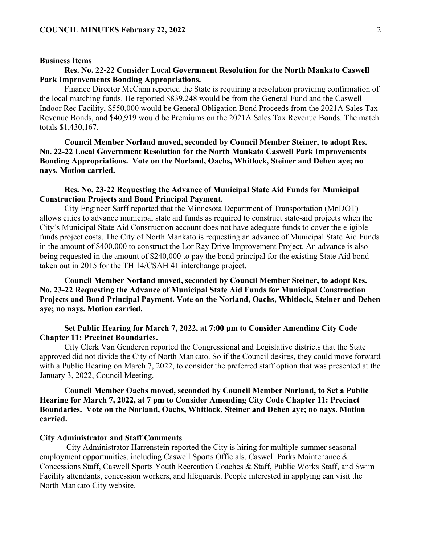#### **Business Items**

## **Res. No. 22-22 Consider Local Government Resolution for the North Mankato Caswell Park Improvements Bonding Appropriations.**

Finance Director McCann reported the State is requiring a resolution providing confirmation of the local matching funds. He reported \$839,248 would be from the General Fund and the Caswell Indoor Rec Facility, \$550,000 would be General Obligation Bond Proceeds from the 2021A Sales Tax Revenue Bonds, and \$40,919 would be Premiums on the 2021A Sales Tax Revenue Bonds. The match totals \$1,430,167.

**Council Member Norland moved, seconded by Council Member Steiner, to adopt Res. No. 22-22 Local Government Resolution for the North Mankato Caswell Park Improvements Bonding Appropriations. Vote on the Norland, Oachs, Whitlock, Steiner and Dehen aye; no nays. Motion carried.** 

## **Res. No. 23-22 Requesting the Advance of Municipal State Aid Funds for Municipal Construction Projects and Bond Principal Payment.**

City Engineer Sarff reported that the Minnesota Department of Transportation (MnDOT) allows cities to advance municipal state aid funds as required to construct state-aid projects when the City's Municipal State Aid Construction account does not have adequate funds to cover the eligible funds project costs. The City of North Mankato is requesting an advance of Municipal State Aid Funds in the amount of \$400,000 to construct the Lor Ray Drive Improvement Project. An advance is also being requested in the amount of \$240,000 to pay the bond principal for the existing State Aid bond taken out in 2015 for the TH 14/CSAH 41 interchange project.

**Council Member Norland moved, seconded by Council Member Steiner, to adopt Res. No. 23-22 Requesting the Advance of Municipal State Aid Funds for Municipal Construction Projects and Bond Principal Payment. Vote on the Norland, Oachs, Whitlock, Steiner and Dehen aye; no nays. Motion carried.** 

## **Set Public Hearing for March 7, 2022, at 7:00 pm to Consider Amending City Code Chapter 11: Precinct Boundaries.**

City Clerk Van Genderen reported the Congressional and Legislative districts that the State approved did not divide the City of North Mankato. So if the Council desires, they could move forward with a Public Hearing on March 7, 2022, to consider the preferred staff option that was presented at the January 3, 2022, Council Meeting.

## **Council Member Oachs moved, seconded by Council Member Norland, to Set a Public Hearing for March 7, 2022, at 7 pm to Consider Amending City Code Chapter 11: Precinct Boundaries. Vote on the Norland, Oachs, Whitlock, Steiner and Dehen aye; no nays. Motion carried.**

#### **City Administrator and Staff Comments**

City Administrator Harrenstein reported the City is hiring for multiple summer seasonal employment opportunities, including Caswell Sports Officials, Caswell Parks Maintenance & Concessions Staff, Caswell Sports Youth Recreation Coaches & Staff, Public Works Staff, and Swim Facility attendants, concession workers, and lifeguards. People interested in applying can visit the North Mankato City website.